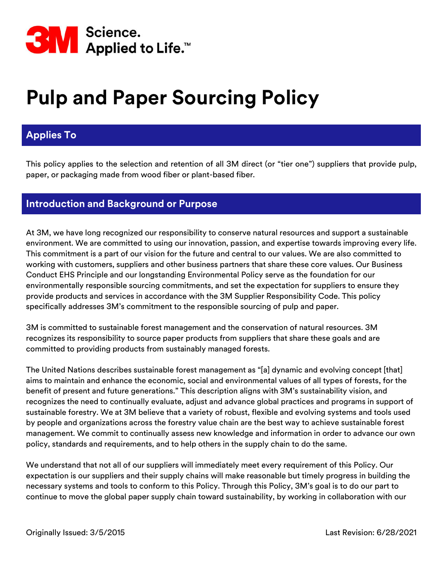

# **Pulp and Paper Sourcing Policy**

## **Applies To**

This policy applies to the selection and retention of all 3M direct (or "tier one") suppliers that provide pulp, paper, or packaging made from wood fiber or plant-based fiber.

### **Introduction and Background or Purpose**

At 3M, we have long recognized our responsibility to conserve natural resources and support a sustainable environment. We are committed to using our innovation, passion, and expertise towards improving every life. This commitment is a part of our vision for the future and central to our values. We are also committed to working with customers, suppliers and other business partners that share these core values. Our Business Conduct EHS Principle and our longstanding Environmental Policy serve as the foundation for our environmentally responsible sourcing commitments, and set the expectation for suppliers to ensure they provide products and services in accordance with the 3M Supplier Responsibility Code. This policy specifically addresses 3M's commitment to the responsible sourcing of pulp and paper.

3M is committed to sustainable forest management and the conservation of natural resources. 3M recognizes its responsibility to source paper products from suppliers that share these goals and are committed to providing products from sustainably managed forests.

The United Nations describes sustainable forest management as "[a] dynamic and evolving concept [that] aims to maintain and enhance the economic, social and environmental values of all types of forests, for the benefit of present and future generations." This description aligns with 3M's sustainability vision, and recognizes the need to continually evaluate, adjust and advance global practices and programs in support of sustainable forestry. We at 3M believe that a variety of robust, flexible and evolving systems and tools used by people and organizations across the forestry value chain are the best way to achieve sustainable forest management. We commit to continually assess new knowledge and information in order to advance our own policy, standards and requirements, and to help others in the supply chain to do the same.

We understand that not all of our suppliers will immediately meet every requirement of this Policy. Our expectation is our suppliers and their supply chains will make reasonable but timely progress in building the necessary systems and tools to conform to this Policy. Through this Policy, 3M's goal is to do our part to continue to move the global paper supply chain toward sustainability, by working in collaboration with our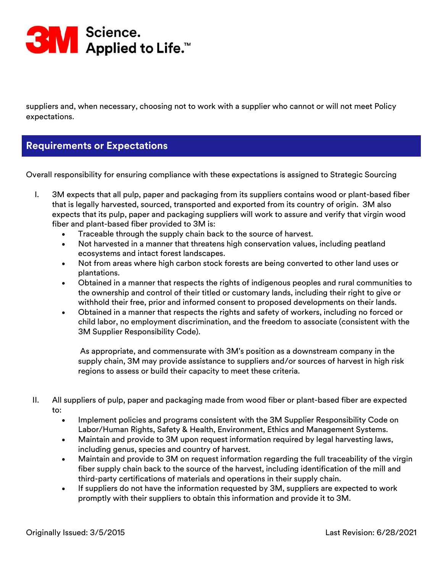

suppliers and, when necessary, choosing not to work with a supplier who cannot or will not meet Policy expectations.

# **Requirements or Expectations**

Overall responsibility for ensuring compliance with these expectations is assigned to Strategic Sourcing

- I. 3M expects that all pulp, paper and packaging from its suppliers contains wood or plant-based fiber that is legally harvested, sourced, transported and exported from its country of origin. 3M also expects that its pulp, paper and packaging suppliers will work to assure and verify that virgin wood fiber and plant-based fiber provided to 3M is:
	- Traceable through the supply chain back to the source of harvest.
	- Not harvested in a manner that threatens high conservation values, including peatland ecosystems and intact forest landscapes.
	- Not from areas where high carbon stock forests are being converted to other land uses or plantations.
	- Obtained in a manner that respects the rights of indigenous peoples and rural communities to the ownership and control of their titled or customary lands, including their right to give or withhold their free, prior and informed consent to proposed developments on their lands.
	- Obtained in a manner that respects the rights and safety of workers, including no forced or child labor, no employment discrimination, and the freedom to associate (consistent with the 3M Supplier Responsibility Code).

As appropriate, and commensurate with 3M's position as a downstream company in the supply chain, 3M may provide assistance to suppliers and/or sources of harvest in high risk regions to assess or build their capacity to meet these criteria.

- II. All suppliers of pulp, paper and packaging made from wood fiber or plant-based fiber are expected to:
	- Implement policies and programs consistent with the 3M Supplier Responsibility Code on Labor/Human Rights, Safety & Health, Environment, Ethics and Management Systems.
	- Maintain and provide to 3M upon request information required by legal harvesting laws, including genus, species and country of harvest.
	- Maintain and provide to 3M on request information regarding the full traceability of the virgin fiber supply chain back to the source of the harvest, including identification of the mill and third-party certifications of materials and operations in their supply chain.
	- If suppliers do not have the information requested by 3M, suppliers are expected to work promptly with their suppliers to obtain this information and provide it to 3M.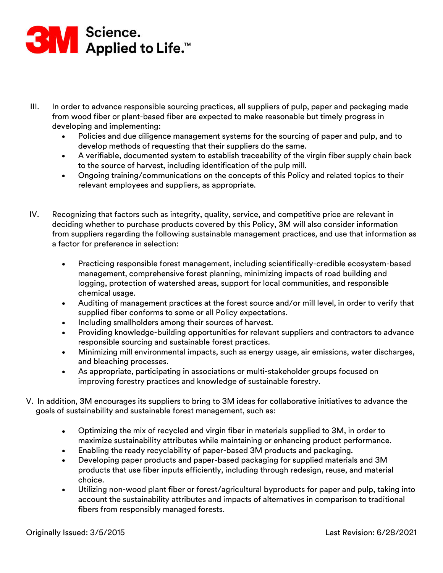

- III. In order to advance responsible sourcing practices, all suppliers of pulp, paper and packaging made from wood fiber or plant-based fiber are expected to make reasonable but timely progress in developing and implementing:
	- Policies and due diligence management systems for the sourcing of paper and pulp, and to develop methods of requesting that their suppliers do the same.
	- A verifiable, documented system to establish traceability of the virgin fiber supply chain back to the source of harvest, including identification of the pulp mill.
	- Ongoing training/communications on the concepts of this Policy and related topics to their relevant employees and suppliers, as appropriate.
- IV. Recognizing that factors such as integrity, quality, service, and competitive price are relevant in deciding whether to purchase products covered by this Policy, 3M will also consider information from suppliers regarding the following sustainable management practices, and use that information as a factor for preference in selection:
	- Practicing responsible forest management, including scientifically-credible ecosystem-based management, comprehensive forest planning, minimizing impacts of road building and logging, protection of watershed areas, support for local communities, and responsible chemical usage.
	- Auditing of management practices at the forest source and/or mill level, in order to verify that supplied fiber conforms to some or all Policy expectations.
	- Including smallholders among their sources of harvest.
	- Providing knowledge-building opportunities for relevant suppliers and contractors to advance responsible sourcing and sustainable forest practices.
	- Minimizing mill environmental impacts, such as energy usage, air emissions, water discharges, and bleaching processes.
	- As appropriate, participating in associations or multi-stakeholder groups focused on improving forestry practices and knowledge of sustainable forestry.
- V. In addition, 3M encourages its suppliers to bring to 3M ideas for collaborative initiatives to advance the goals of sustainability and sustainable forest management, such as:
	- Optimizing the mix of recycled and virgin fiber in materials supplied to 3M, in order to maximize sustainability attributes while maintaining or enhancing product performance.
	- Enabling the ready recyclability of paper-based 3M products and packaging.
	- Developing paper products and paper-based packaging for supplied materials and 3M products that use fiber inputs efficiently, including through redesign, reuse, and material choice.
	- Utilizing non-wood plant fiber or forest/agricultural byproducts for paper and pulp, taking into account the sustainability attributes and impacts of alternatives in comparison to traditional fibers from responsibly managed forests.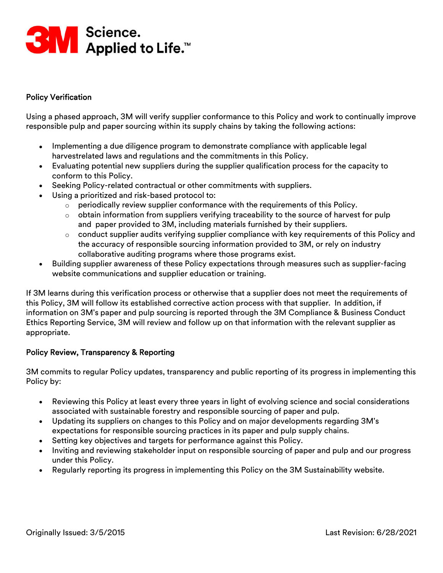

#### Policy Verification

Using a phased approach, 3M will verify supplier conformance to this Policy and work to continually improve responsible pulp and paper sourcing within its supply chains by taking the following actions:

- Implementing a due diligence program to demonstrate compliance with applicable legal harvestrelated laws and regulations and the commitments in this Policy.
- Evaluating potential new suppliers during the supplier qualification process for the capacity to conform to this Policy.
- Seeking Policy-related contractual or other commitments with suppliers.
- Using a prioritized and risk-based protocol to:
	- $\circ$  periodically review supplier conformance with the requirements of this Policy.
	- $\circ$  obtain information from suppliers verifying traceability to the source of harvest for pulp and paper provided to 3M, including materials furnished by their suppliers.
	- o conduct supplier audits verifying supplier compliance with key requirements of this Policy and the accuracy of responsible sourcing information provided to 3M, or rely on industry collaborative auditing programs where those programs exist.
- Building supplier awareness of these Policy expectations through measures such as supplier-facing website communications and supplier education or training.

If 3M learns during this verification process or otherwise that a supplier does not meet the requirements of this Policy, 3M will follow its established corrective action process with that supplier. In addition, if information on 3M's paper and pulp sourcing is reported through the 3M Compliance & Business Conduct Ethics Reporting Service, 3M will review and follow up on that information with the relevant supplier as appropriate.

#### Policy Review, Transparency & Reporting

3M commits to regular Policy updates, transparency and public reporting of its progress in implementing this Policy by:

- Reviewing this Policy at least every three years in light of evolving science and social considerations associated with sustainable forestry and responsible sourcing of paper and pulp.
- Updating its suppliers on changes to this Policy and on major developments regarding 3M's expectations for responsible sourcing practices in its paper and pulp supply chains.
- Setting key objectives and targets for performance against this Policy.
- Inviting and reviewing stakeholder input on responsible sourcing of paper and pulp and our progress under this Policy.
- Regularly reporting its progress in implementing this Policy on the 3M Sustainability website.